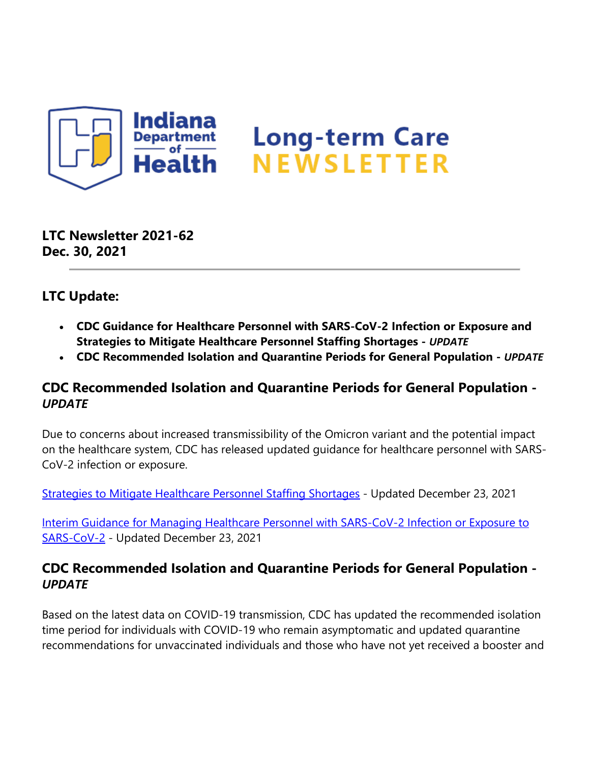

**LTC Newsletter 2021-62 Dec. 30, 2021**

## **LTC Update:**

- **CDC Guidance for Healthcare Personnel with SARS-CoV-2 Infection or Exposure and Strategies to Mitigate Healthcare Personnel Staffing Shortages -** *UPDATE*
- **CDC Recommended Isolation and Quarantine Periods for General Population** *UPDATE*

## **CDC Recommended Isolation and Quarantine Periods for General Population -**  *UPDATE*

Due to concerns about increased transmissibility of the Omicron variant and the potential impact on the healthcare system, CDC has released updated guidance for healthcare personnel with SARS-CoV-2 infection or exposure.

[Strategies to Mitigate Healthcare Personnel Staffing Shortages](https://protect2.fireeye.com/v1/url?k=741d9e28-2b86a6de-7419d728-8681010e5614-73744da88082babf&q=1&e=b94799b1-e35d-417d-ac91-d10d5b3dcd87&u=https%3A%2F%2Flnks.gd%2Fl%2FeyJhbGciOiJIUzI1NiJ9.eyJidWxsZXRpbl9saW5rX2lkIjoxMDAsInVyaSI6ImJwMjpjbGljayIsImJ1bGxldGluX2lkIjoiMjAyMTEyMzAuNTEwMjc3OTEiLCJ1cmwiOiJodHRwczovL3d3dy5jZGMuZ292L2Nvcm9uYXZpcnVzLzIwMTktbmNvdi9oY3AvbWl0aWdhdGluZy1zdGFmZi1zaG9ydGFnZXMuaHRtbCJ9.cTMD1mwQXPEYabzT1MoNiWfAA2YgeGzJuvGlKIE3dVo%2Fs%2F1439130268%2Fbr%2F123905183333-l) - Updated December 23, 2021

[Interim Guidance for Managing Healthcare Personnel with SARS-CoV-2 Infection or Exposure to](https://protect2.fireeye.com/v1/url?k=fcd5ce0a-a34ef6fc-fcd1870a-8681010e5614-2b1308e8decbde4e&q=1&e=b94799b1-e35d-417d-ac91-d10d5b3dcd87&u=https%3A%2F%2Flnks.gd%2Fl%2FeyJhbGciOiJIUzI1NiJ9.eyJidWxsZXRpbl9saW5rX2lkIjoxMDEsInVyaSI6ImJwMjpjbGljayIsImJ1bGxldGluX2lkIjoiMjAyMTEyMzAuNTEwMjc3OTEiLCJ1cmwiOiJodHRwczovL3d3dy5jZGMuZ292L2Nvcm9uYXZpcnVzLzIwMTktbmNvdi9oY3AvZ3VpZGFuY2Utcmlzay1hc3Nlc21lbnQtaGNwLmh0bWwifQ.kedzNvPXBmOZ8tPO9uv3ABHMeoXOj4EmuBBWh7g2yxI%2Fs%2F1439130268%2Fbr%2F123905183333-l)  [SARS-CoV-2](https://protect2.fireeye.com/v1/url?k=fcd5ce0a-a34ef6fc-fcd1870a-8681010e5614-2b1308e8decbde4e&q=1&e=b94799b1-e35d-417d-ac91-d10d5b3dcd87&u=https%3A%2F%2Flnks.gd%2Fl%2FeyJhbGciOiJIUzI1NiJ9.eyJidWxsZXRpbl9saW5rX2lkIjoxMDEsInVyaSI6ImJwMjpjbGljayIsImJ1bGxldGluX2lkIjoiMjAyMTEyMzAuNTEwMjc3OTEiLCJ1cmwiOiJodHRwczovL3d3dy5jZGMuZ292L2Nvcm9uYXZpcnVzLzIwMTktbmNvdi9oY3AvZ3VpZGFuY2Utcmlzay1hc3Nlc21lbnQtaGNwLmh0bWwifQ.kedzNvPXBmOZ8tPO9uv3ABHMeoXOj4EmuBBWh7g2yxI%2Fs%2F1439130268%2Fbr%2F123905183333-l) - Updated December 23, 2021

## **CDC Recommended Isolation and Quarantine Periods for General Population -**  *UPDATE*

Based on the latest data on COVID-19 transmission, CDC has updated the recommended isolation time period for individuals with COVID-19 who remain asymptomatic and updated quarantine recommendations for unvaccinated individuals and those who have not yet received a booster and